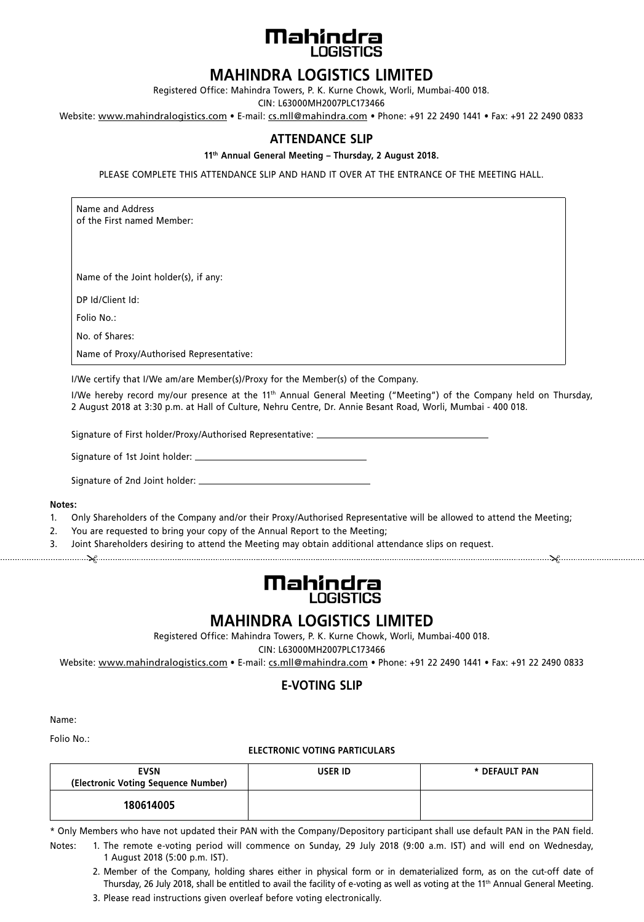

# **MAHINDRA LOGISTICS LIMITED**

Registered Office: Mahindra Towers, P. K. Kurne Chowk, Worli, Mumbai-400 018.

CIN: L63000MH2007PLC173466

Website: www.mahindralogistics.com • E-mail: cs.mll@mahindra.com • Phone: +91 22 2490 1441 • Fax: +91 22 2490 0833

### **ATTENDANCE SLIP**

**11th Annual General Meeting – Thursday, 2 August 2018.**

PLEASE COMPLETE THIS ATTENDANCE SLIP AND HAND IT OVER AT THE ENTRANCE OF THE MEETING HALL.

Name and Address of the First named Member:

Name of the Joint holder(s), if any:

DP Id/Client Id:

Folio No.:

No. of Shares:

Name of Proxy/Authorised Representative:

I/We certify that I/We am/are Member(s)/Proxy for the Member(s) of the Company.

I/We hereby record my/our presence at the 11<sup>th</sup> Annual General Meeting ("Meeting") of the Company held on Thursday, 2 August 2018 at 3:30 p.m. at Hall of Culture, Nehru Centre, Dr. Annie Besant Road, Worli, Mumbai - 400 018.

Signature of First holder/Proxy/Authorised Representative:

Signature of 1st Joint holder:

Signature of 2nd Joint holder:

#### **Notes:**

- 1. Only shareholders of the Company and/or their Proxy/Authorised Representative will be allowed to attend the Meeting;
- 2. You are requested to bring your copy of the Annual Report to the Meeting;
- 3. Joint Shareholders desiring to attend the Meeting may obtain additional attendance slips on request.
- $\chi$  . The continuum contract of the contract of the contract of the contract of the contract of  $\chi$



# **MAHINDRA LOGISTICS LIMITED**

Registered Office: Mahindra Towers, P. K. Kurne Chowk, Worli, Mumbai-400 018.

CIN: L63000MH2007PLC173466

Website: www.mahindralogistics.com • E-mail: cs.mll@mahindra.com • Phone: +91 22 2490 1441 • Fax: +91 22 2490 0833

### **E-VOTING SLIP**

Name:

Folio No.:

#### **ELECTRONIC VOTING PARTICULARS**

| <b>EVSN</b><br>(Electronic Voting Sequence Number) | <b>USER ID</b> | * DEFAULT PAN |
|----------------------------------------------------|----------------|---------------|
| 180614005                                          |                |               |

\* Only Members who have not updated their PAN with the Company/Depository participant shall use default PAN in the PAN field. Notes: 1. The remote e-voting period will commence on Sunday, 29 July 2018 (9:00 a.m. IST) and will end on Wednesday,

1 August 2018 (5:00 p.m. IST).

- 2. Member of the Company, holding shares either in physical form or in dematerialized form, as on the cut-off date of Thursday, 26 July 2018, shall be entitled to avail the facility of e-voting as well as voting at the 11<sup>th</sup> Annual General Meeting.
- 3. Please read instructions given overleaf before voting electronically.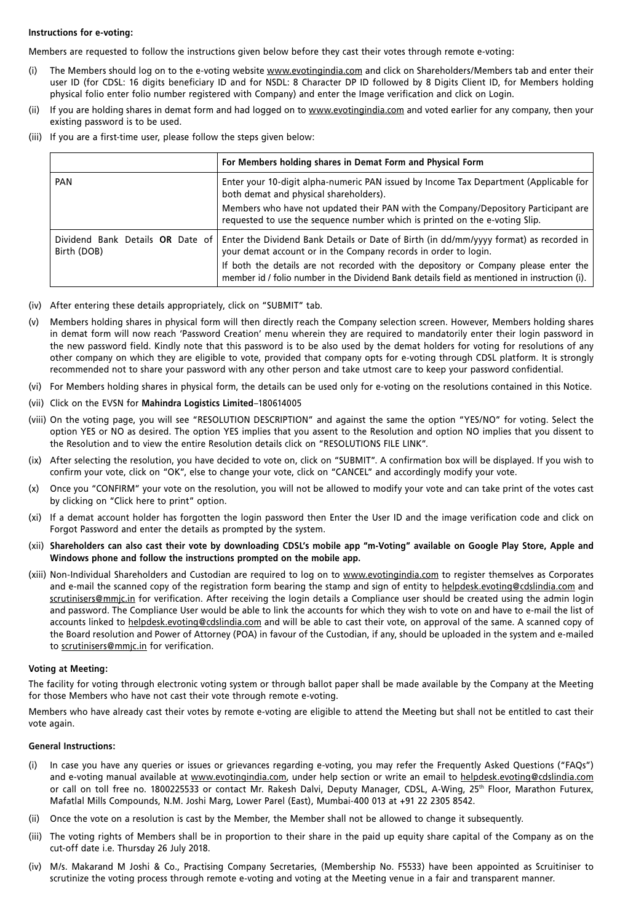#### **Instructions for e-voting:**

Members are requested to follow the instructions given below before they cast their votes through remote e-voting:

- (i) The Members should log on to the e-voting website www.evotingindia.com and click on Shareholders/Members tab and enter their user ID (for CDSL: 16 digits beneficiary ID and for NSDL: 8 Character DP ID followed by 8 Digits Client ID, for Members holding physical folio enter folio number registered with Company) and enter the Image verification and click on Login.
- (ii) If you are holding shares in demat form and had logged on to www.evotingindia.com and voted earlier for any company, then your existing password is to be used.
- (iii) If you are a first-time user, please follow the steps given below:

|             | For Members holding shares in Demat Form and Physical Form                                                                                                                                 |  |
|-------------|--------------------------------------------------------------------------------------------------------------------------------------------------------------------------------------------|--|
| PAN         | Enter your 10-digit alpha-numeric PAN issued by Income Tax Department (Applicable for<br>both demat and physical shareholders).                                                            |  |
|             | Members who have not updated their PAN with the Company/Depository Participant are<br>requested to use the sequence number which is printed on the e-voting Slip.                          |  |
| Birth (DOB) | Dividend Bank Details OR Date of Enter the Dividend Bank Details or Date of Birth (in dd/mm/yyyy format) as recorded in<br>your demat account or in the Company records in order to login. |  |
|             | If both the details are not recorded with the depository or Company please enter the<br>member id / folio number in the Dividend Bank details field as mentioned in instruction (i).       |  |

- (iv) After entering these details appropriately, click on "SUBMIT" tab.
- (v) Members holding shares in physical form will then directly reach the Company selection screen. However, Members holding shares in demat form will now reach 'Password Creation' menu wherein they are required to mandatorily enter their login password in the new password field. Kindly note that this password is to be also used by the demat holders for voting for resolutions of any other company on which they are eligible to vote, provided that company opts for e-voting through CDSL platform. It is strongly recommended not to share your password with any other person and take utmost care to keep your password confidential.
- (vi) For Members holding shares in physical form, the details can be used only for e-voting on the resolutions contained in this Notice.
- (vii) Click on the EVSN for **Mahindra Logistics Limited**–180614005
- (viii) On the voting page, you will see "RESOLUTION DESCRIPTION" and against the same the option "YES/NO" for voting. Select the option YES or NO as desired. The option YES implies that you assent to the Resolution and option NO implies that you dissent to the Resolution and to view the entire Resolution details click on "RESOLUTIONS FILE LINK".
- (ix) After selecting the resolution, you have decided to vote on, click on "SUBMIT". A confirmation box will be displayed. If you wish to confirm your vote, click on "OK", else to change your vote, click on "CANCEL" and accordingly modify your vote.
- (x) Once you "CONFIRM" your vote on the resolution, you will not be allowed to modify your vote and can take print of the votes cast by clicking on "Click here to print" option.
- (xi) If a demat account holder has forgotten the login password then Enter the User ID and the image verification code and click on Forgot Password and enter the details as prompted by the system.
- (xii) **Shareholders can also cast their vote by downloading CDSL's mobile app "m-Voting" available on Google Play Store, Apple and Windows phone and follow the instructions prompted on the mobile app.**
- (xiii) Non-Individual Shareholders and Custodian are required to log on to www.evotingindia.com to register themselves as Corporates and e-mail the scanned copy of the registration form bearing the stamp and sign of entity to helpdesk.evoting@cdslindia.com and scrutinisers@mmjc.in for verification. After receiving the login details a Compliance user should be created using the admin login and password. The Compliance User would be able to link the accounts for which they wish to vote on and have to e-mail the list of accounts linked to helpdesk.evoting@cdslindia.com and will be able to cast their vote, on approval of the same. A scanned copy of the Board resolution and Power of Attorney (POA) in favour of the Custodian, if any, should be uploaded in the system and e-mailed to scrutinisers@mmjc.in for verification.

#### **Voting at Meeting:**

The facility for voting through electronic voting system or through ballot paper shall be made available by the Company at the Meeting for those Members who have not cast their vote through remote e-voting.

Members who have already cast their votes by remote e-voting are eligible to attend the Meeting but shall not be entitled to cast their vote again.

#### **General Instructions:**

- (i) In case you have any queries or issues or grievances regarding e-voting, you may refer the Frequently Asked Questions ("FAQs") and e-voting manual available at www.evotingindia.com, under help section or write an email to helpdesk.evoting@cdslindia.com or call on toll free no. 1800225533 or contact Mr. Rakesh Dalvi, Deputy Manager, CDSL, A-Wing, 25<sup>th</sup> Floor, Marathon Futurex, Mafatlal Mills Compounds, N.M. Joshi Marg, Lower Parel (East), Mumbai-400 013 at +91 22 2305 8542.
- (ii) Once the vote on a resolution is cast by the Member, the Member shall not be allowed to change it subsequently.
- (iii) The voting rights of Members shall be in proportion to their share in the paid up equity share capital of the Company as on the cut-off date i.e. Thursday 26 July 2018.
- (iv) M/s. Makarand M Joshi & Co., Practising Company Secretaries, (Membership No. F5533) have been appointed as Scruitiniser to scrutinize the voting process through remote e-voting and voting at the Meeting venue in a fair and transparent manner.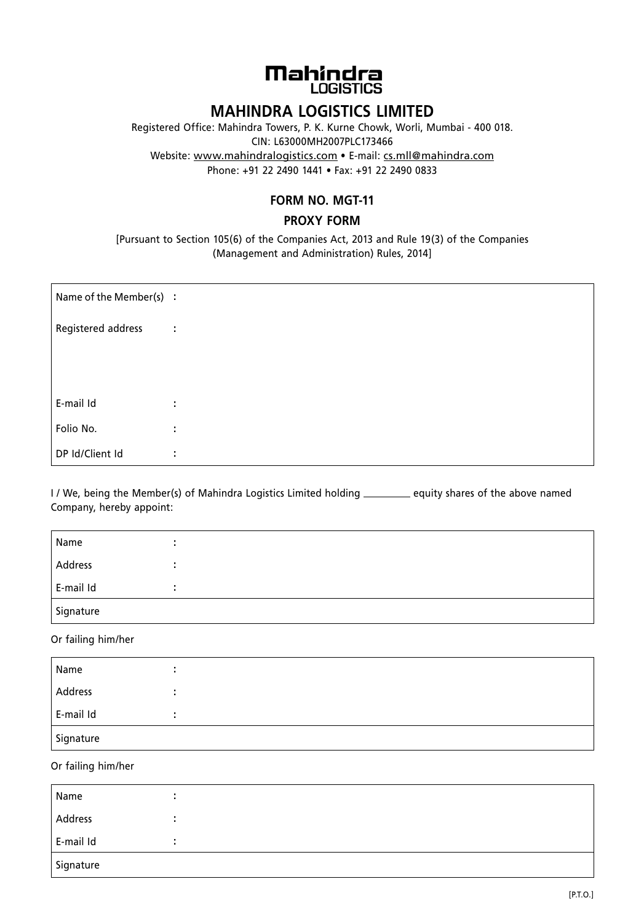

# **MAHINDRA LOGISTICS LIMITED**

Registered Office: Mahindra Towers, P. K. Kurne Chowk, Worli, Mumbai - 400 018. CIN: L63000MH2007PLC173466 Website: www.mahindralogistics.com • E-mail: cs.mll@mahindra.com Phone: +91 22 2490 1441 • Fax: +91 22 2490 0833

## **FORM NO. MGT-11**

## **PROXY FORM**

[Pursuant to Section 105(6) of the Companies Act, 2013 and Rule 19(3) of the Companies (Management and Administration) Rules, 2014]

| Name of the Member(s) : |   |
|-------------------------|---|
| Registered address      | ÷ |
|                         |   |
|                         |   |
| E-mail Id               | ÷ |
| Folio No.               | ÷ |
| DP Id/Client Id         | ÷ |

I / We, being the Member(s) of Mahindra Logistics Limited holding \_\_\_\_\_\_\_ equity shares of the above named company, hereby appoint:

| Name      |  |
|-----------|--|
| Address   |  |
| E-mail Id |  |
| Signature |  |

Or failing him/her

| Name      |  |  |
|-----------|--|--|
| Address   |  |  |
| E-mail Id |  |  |
| Signature |  |  |

Or failing him/her

| Name      |  |  |  |
|-----------|--|--|--|
| Address   |  |  |  |
| E-mail Id |  |  |  |
| Signature |  |  |  |